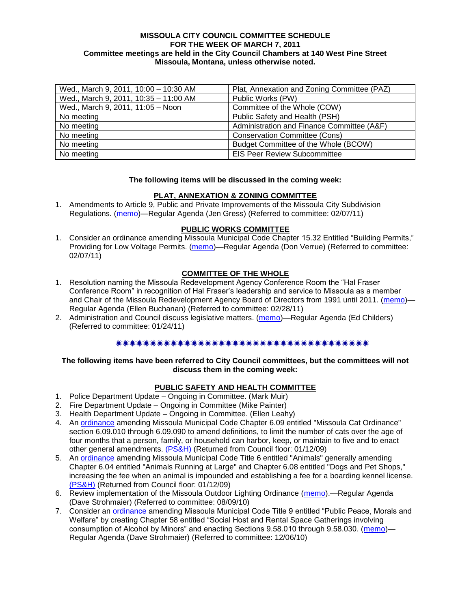#### **MISSOULA CITY COUNCIL COMMITTEE SCHEDULE FOR THE WEEK OF MARCH 7, 2011 Committee meetings are held in the City Council Chambers at 140 West Pine Street Missoula, Montana, unless otherwise noted.**

| Wed., March 9, 2011, 10:00 - 10:30 AM | Plat, Annexation and Zoning Committee (PAZ) |
|---------------------------------------|---------------------------------------------|
| Wed., March 9, 2011, 10:35 - 11:00 AM | Public Works (PW)                           |
| Wed., March 9, 2011, 11:05 - Noon     | Committee of the Whole (COW)                |
| No meeting                            | Public Safety and Health (PSH)              |
| No meeting                            | Administration and Finance Committee (A&F)  |
| No meeting                            | <b>Conservation Committee (Cons)</b>        |
| No meeting                            | Budget Committee of the Whole (BCOW)        |
| No meeting                            | <b>EIS Peer Review Subcommittee</b>         |

#### **The following items will be discussed in the coming week:**

#### **PLAT, ANNEXATION & ZONING COMMITTEE**

1. Amendments to Article 9, Public and Private Improvements of the Missoula City Subdivision Regulations. [\(memo\)](http://www.ci.missoula.mt.us/DocumentView.aspx?DID=5550)—Regular Agenda (Jen Gress) (Referred to committee: 02/07/11)

#### **PUBLIC WORKS COMMITTEE**

1. Consider an ordinance amending Missoula Municipal Code Chapter 15.32 Entitled "Building Permits," Providing for Low Voltage Permits. [\(memo\)](http://www.ci.missoula.mt.us/DocumentView.aspx?DID=5548)—Regular Agenda (Don Verrue) (Referred to committee: 02/07/11)

### **COMMITTEE OF THE WHOLE**

- 1. Resolution naming the Missoula Redevelopment Agency Conference Room the "Hal Fraser Conference Room" in recognition of Hal Fraser's leadership and service to Missoula as a member and Chair of the Missoula Redevelopment Agency Board of Directors from 1991 until 2011. [\(memo\)](http://www.ci.missoula.mt.us/DocumentView.aspx?DID=5644)-Regular Agenda (Ellen Buchanan) (Referred to committee: 02/28/11)
- 2. Administration and Council discuss legislative matters. [\(memo\)](http://www.ci.missoula.mt.us/DocumentView.aspx?DID=5433)—Regular Agenda (Ed Childers) (Referred to committee: 01/24/11)

### 

#### **The following items have been referred to City Council committees, but the committees will not discuss them in the coming week:**

### **PUBLIC SAFETY AND HEALTH COMMITTEE**

- 1. Police Department Update Ongoing in Committee. (Mark Muir)
- 2. Fire Department Update Ongoing in Committee (Mike Painter)
- 3. Health Department Update Ongoing in Committee. (Ellen Leahy)
- 4. An [ordinance](ftp://ftp.ci.missoula.mt.us/Packets/Council/2008/2008-12-15/2008CatOrdinanceAmendment%5B1%5D.pdf) amending Missoula Municipal Code Chapter 6.09 entitled "Missoula Cat Ordinance" section 6.09.010 through 6.09.090 to amend definitions, to limit the number of cats over the age of four months that a person, family, or household can harbor, keep, or maintain to five and to enact other general amendments. [\(PS&H\)](ftp://ftp.ci.missoula.mt.us/Packets/Council/2008/2008-12-15/081210psh.pdf) (Returned from Council floor: 01/12/09)
- 5. An [ordinance](ftp://ftp.ci.missoula.mt.us/Packets/Council/2008/2008-12-15/DogOrdinance--PSHrevisions.pdf) amending Missoula Municipal Code Title 6 entitled "Animals" generally amending Chapter 6.04 entitled "Animals Running at Large" and Chapter 6.08 entitled "Dogs and Pet Shops," increasing the fee when an animal is impounded and establishing a fee for a boarding kennel license. [\(PS&H\)](ftp://ftp.ci.missoula.mt.us/Packets/Council/2008/2008-12-15/081210psh.pdf) (Returned from Council floor: 01/12/09)
- 6. Review implementation of the Missoula Outdoor Lighting Ordinance [\(memo\)](http://www.ci.missoula.mt.us/DocumentView.aspx?DID=4420).—Regular Agenda (Dave Strohmaier) (Referred to committee: 08/09/10)
- 7. Consider an *ordinance* amending Missoula Municipal Code Title 9 entitled "Public Peace, Morals and Welfare" by creating Chapter 58 entitled "Social Host and Rental Space Gatherings involving consumption of Alcohol by Minors" and enacting Sections 9.58.010 through 9.58.030. [\(memo\)](http://www.ci.missoula.mt.us/DocumentView.aspx?DID=5149)— Regular Agenda (Dave Strohmaier) (Referred to committee: 12/06/10)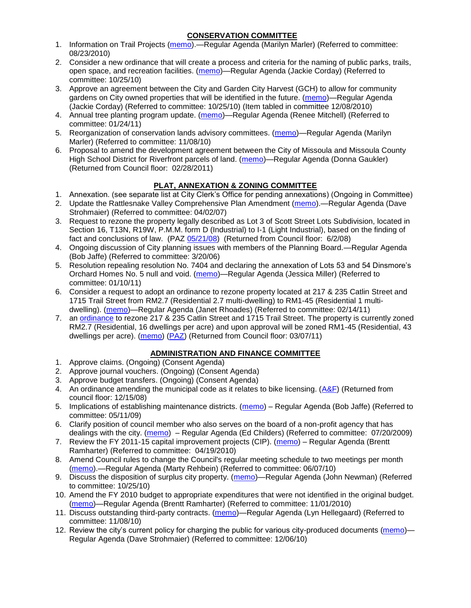### **CONSERVATION COMMITTEE**

- 1. Information on Trail Projects [\(memo\)](http://www.ci.missoula.mt.us/DocumentView.aspx?DID=4477).—Regular Agenda (Marilyn Marler) (Referred to committee: 08/23/2010)
- 2. Consider a new ordinance that will create a process and criteria for the naming of public parks, trails, open space, and recreation facilities. [\(memo\)](http://www.ci.missoula.mt.us/DocumentView.aspx?DID=4848)—Regular Agenda (Jackie Corday) (Referred to committee: 10/25/10)
- 3. Approve an agreement between the City and Garden City Harvest (GCH) to allow for community gardens on City owned properties that will be identified in the future. [\(memo\)](http://www.ci.missoula.mt.us/DocumentView.aspx?DID=4847)—Regular Agenda (Jackie Corday) (Referred to committee: 10/25/10) (Item tabled in committee 12/08/2010)
- 4. Annual tree planting program update. [\(memo\)](http://www.ci.missoula.mt.us/DocumentView.aspx?DID=5425)—Regular Agenda (Renee Mitchell) (Referred to committee: 01/24/11)
- 5. Reorganization of conservation lands advisory committees. [\(memo\)](http://www.ci.missoula.mt.us/DocumentView.aspx?DID=4957)—Regular Agenda (Marilyn Marler) (Referred to committee: 11/08/10)
- 6. Proposal to amend the development agreement between the City of Missoula and Missoula County High School District for Riverfront parcels of land. [\(memo\)](http://www.ci.missoula.mt.us/DocumentView.aspx?DID=5549)—Regular Agenda (Donna Gaukler) (Returned from Council floor: 02/28/2011)

# **PLAT, ANNEXATION & ZONING COMMITTEE**

- 1. Annexation. (see separate list at City Clerk's Office for pending annexations) (Ongoing in Committee)
- 2. Update the Rattlesnake Valley Comprehensive Plan Amendment [\(memo\)](ftp://ftp.ci.missoula.mt.us/Packets/Council/2007/2007-04-02/Referrals/Rattlesnake_Plan_Update_referral.pdf).—Regular Agenda (Dave Strohmaier) (Referred to committee: 04/02/07)
- 3. Request to rezone the property legally described as Lot 3 of Scott Street Lots Subdivision, located in Section 16, T13N, R19W, P.M.M. form D (Industrial) to I-1 (Light Industrial), based on the finding of fact and conclusions of law. (PAZ [05/21/08\)](ftp://ftp.ci.missoula.mt.us/Packets/Council/2008/2008-06-02/080521paz.pdf) (Returned from Council floor: 6/2/08)
- 4. Ongoing discussion of City planning issues with members of the Planning Board.—Regular Agenda (Bob Jaffe) (Referred to committee: 3/20/06)
- 5. Resolution repealing resolution No. 7404 and declaring the annexation of Lots 53 and 54 Dinsmore's Orchard Homes No. 5 null and void. [\(memo\)](http://www.ci.missoula.mt.us/DocumentView.aspx?DID=5349)—Regular Agenda (Jessica Miller) (Referred to committee: 01/10/11)
- 6. Consider a request to adopt an ordinance to rezone property located at 217 & 235 Catlin Street and 1715 Trail Street from RM2.7 (Residential 2.7 multi-dwelling) to RM1-45 (Residential 1 multidwelling). [\(memo\)](http://www.ci.missoula.mt.us/DocumentView.aspx?DID=5591)—Regular Agenda (Janet Rhoades) (Referred to committee: 02/14/11)
- 7. an [ordinance](http://www.ci.missoula.mt.us/DocumentView.aspx?DID=5587) to rezone 217 & 235 Catlin Street and 1715 Trail Street. The property is currently zoned RM2.7 (Residential, 16 dwellings per acre) and upon approval will be zoned RM1-45 (Residential, 43 dwellings per acre). [\(memo\)](http://www.ci.missoula.mt.us/DocumentView.aspx?DID=5591) [\(PAZ\)](http://www.ci.missoula.mt.us/Archive.aspx?ADID=3607) (Returned from Council floor: 03/07/11)

### **ADMINISTRATION AND FINANCE COMMITTEE**

- 1. Approve claims. (Ongoing) (Consent Agenda)
- 2. Approve journal vouchers. (Ongoing) (Consent Agenda)
- 3. Approve budget transfers. (Ongoing) (Consent Agenda)
- 4. An ordinance amending the municipal code as it relates to bike licensing. [\(A&F\)](ftp://ftp.ci.missoula.mt.us/Packets/Council/2008/2008-12-15/081210af.pdf) (Returned from council floor: 12/15/08)
- 5. Implications of establishing maintenance districts. [\(memo\)](ftp://ftp.ci.missoula.mt.us/Packets/Council/2009/2009-05-11/Referrals/MaintenanceDistricts.pdf) Regular Agenda (Bob Jaffe) (Referred to committee: 05/11/09)
- 6. Clarify position of council member who also serves on the board of a non-profit agency that has dealings with the city. [\(memo\)](http://www.ci.missoula.mt.us/DocumentView.aspx?DID=1840) – Regular Agenda (Ed Childers) (Referred to committee: 07/20/2009)
- 7. Review the FY 2011-15 capital improvement projects (CIP). [\(memo\)](http://www.ci.missoula.mt.us/DocumentView.aspx?DID=3522) Regular Agenda (Brentt Ramharter) (Referred to committee: 04/19/2010)
- 8. Amend Council rules to change the Council's regular meeting schedule to two meetings per month [\(memo\)](http://www.ci.missoula.mt.us/DocumentView.aspx?DID=4027).—Regular Agenda (Marty Rehbein) (Referred to committee: 06/07/10)
- 9. Discuss the disposition of surplus city property. [\(memo\)](http://www.ci.missoula.mt.us/DocumentView.aspx?DID=4862)—Regular Agenda (John Newman) (Referred to committee: 10/25/10)
- 10. Amend the FY 2010 budget to appropriate expenditures that were not identified in the original budget. [\(memo\)](http://www.ci.missoula.mt.us/DocumentView.aspx?DID=4883)—Regular Agenda (Brentt Ramharter) (Referred to committee: 11/01/2010)
- 11. Discuss outstanding third-party contracts. [\(memo\)](http://www.ci.missoula.mt.us/DocumentView.aspx?DID=4956)—Regular Agenda (Lyn Hellegaard) (Referred to committee: 11/08/10)
- 12. Review the city's current policy for charging the public for various city-produced documents [\(memo\)](http://www.ci.missoula.mt.us/DocumentView.aspx?DID=5143) Regular Agenda (Dave Strohmaier) (Referred to committee: 12/06/10)